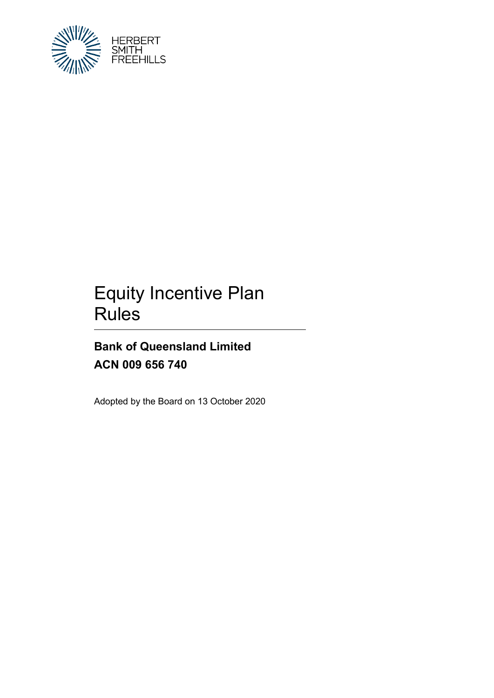

# Equity Incentive Plan Rules

## **Bank of Queensland Limited ACN 009 656 740**

Adopted by the Board on 13 October 2020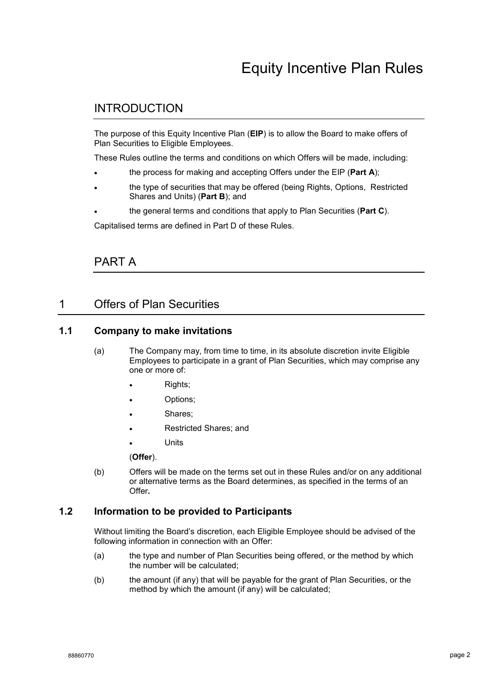### INTRODUCTION

The purpose of this Equity Incentive Plan (**EIP**) is to allow the Board to make offers of Plan Securities to Eligible Employees.

These Rules outline the terms and conditions on which Offers will be made, including:

- the process for making and accepting Offers under the EIP (**Part A**);
- the type of securities that may be offered (being Rights, Options, Restricted Shares and Units) (**Part B**); and
- the general terms and conditions that apply to Plan Securities (**Part C**).

Capitalised terms are defined in Part D of these Rules.

PART A

### 1 Offers of Plan Securities

#### <span id="page-1-1"></span>**1.1 Company to make invitations**

- (a) The Company may, from time to time, in its absolute discretion invite Eligible Employees to participate in a grant of Plan Securities, which may comprise any one or more of:
	- Rights;
	- Options;
	- Shares:
	- Restricted Shares; and
	- Units

(**Offer**).

(b) Offers will be made on the terms set out in these Rules and/or on any additional or alternative terms as the Board determines, as specified in the terms of an Offer*.*

#### <span id="page-1-0"></span>**1.2 Information to be provided to Participants**

Without limiting the Board's discretion, each Eligible Employee should be advised of the following information in connection with an Offer:

- (a) the type and number of Plan Securities being offered, or the method by which the number will be calculated;
- (b) the amount (if any) that will be payable for the grant of Plan Securities, or the method by which the amount (if any) will be calculated;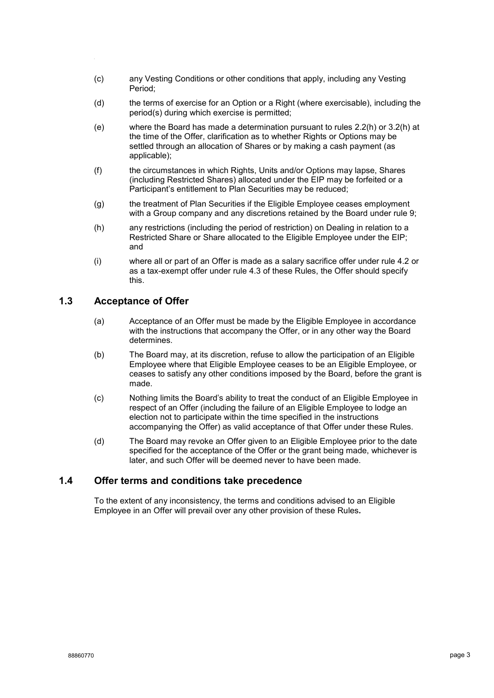- (c) any Vesting Conditions or other conditions that apply, including any Vesting Period;
- (d) the terms of exercise for an Option or a Right (where exercisable), including the period(s) during which exercise is permitted;
- (e) where the Board has made a determination pursuant to rules [2.2\(h\)](#page-4-0) or [3.2\(h\)](#page-5-0) at the time of the Offer, clarification as to whether Rights or Options may be settled through an allocation of Shares or by making a cash payment (as applicable);
- (f) the circumstances in which Rights, Units and/or Options may lapse, Shares (including Restricted Shares) allocated under the EIP may be forfeited or a Participant's entitlement to Plan Securities may be reduced;
- (g) the treatment of Plan Securities if the Eligible Employee ceases employment with a Group company and any discretions retained by the Board under rule [9;](#page-13-0)
- (h) any restrictions (including the period of restriction) on Dealing in relation to a Restricted Share or Share allocated to the Eligible Employee under the EIP; and
- (i) where all or part of an Offer is made as a salary sacrifice offer under rule [4.2](#page-7-0) or as a tax-exempt offer under rule [4.3](#page-8-0) of these Rules, the Offer should specify this.

#### <span id="page-2-1"></span><span id="page-2-0"></span>**1.3 Acceptance of Offer**

- (a) Acceptance of an Offer must be made by the Eligible Employee in accordance with the instructions that accompany the Offer, or in any other way the Board determines.
- <span id="page-2-2"></span>(b) The Board may, at its discretion, refuse to allow the participation of an Eligible Employee where that Eligible Employee ceases to be an Eligible Employee, or ceases to satisfy any other conditions imposed by the Board, before the grant is made.
- (c) Nothing limits the Board's ability to treat the conduct of an Eligible Employee in respect of an Offer (including the failure of an Eligible Employee to lodge an election not to participate within the time specified in the instructions accompanying the Offer) as valid acceptance of that Offer under these Rules.
- (d) The Board may revoke an Offer given to an Eligible Employee prior to the date specified for the acceptance of the Offer or the grant being made, whichever is later, and such Offer will be deemed never to have been made.

#### **1.4 Offer terms and conditions take precedence**

To the extent of any inconsistency, the terms and conditions advised to an Eligible Employee in an Offer will prevail over any other provision of these Rules*.*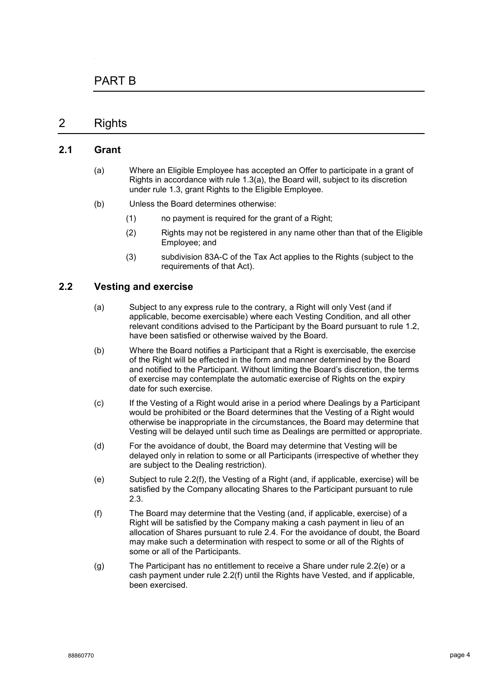### PART B

### 2 Rights

#### **2.1 Grant**

- (a) Where an Eligible Employee has accepted an Offer to participate in a grant of Rights in accordance with rule [1.3\(a\),](#page-2-0) the Board will, subject to its discretion under rule [1.3,](#page-2-1) grant Rights to the Eligible Employee.
- (b) Unless the Board determines otherwise:
	- (1) no payment is required for the grant of a Right;
	- (2) Rights may not be registered in any name other than that of the Eligible Employee; and
	- (3) subdivision 83A-C of the Tax Act applies to the Rights (subject to the requirements of that Act).

#### <span id="page-3-2"></span>**2.2 Vesting and exercise**

- (a) Subject to any express rule to the contrary, a Right will only Vest (and if applicable, become exercisable) where each Vesting Condition, and all other relevant conditions advised to the Participant by the Board pursuant to rule [1.2,](#page-1-0) have been satisfied or otherwise waived by the Board.
- (b) Where the Board notifies a Participant that a Right is exercisable, the exercise of the Right will be effected in the form and manner determined by the Board and notified to the Participant. Without limiting the Board's discretion, the terms of exercise may contemplate the automatic exercise of Rights on the expiry date for such exercise.
- (c) If the Vesting of a Right would arise in a period where Dealings by a Participant would be prohibited or the Board determines that the Vesting of a Right would otherwise be inappropriate in the circumstances, the Board may determine that Vesting will be delayed until such time as Dealings are permitted or appropriate.
- (d) For the avoidance of doubt, the Board may determine that Vesting will be delayed only in relation to some or all Participants (irrespective of whether they are subject to the Dealing restriction).
- <span id="page-3-1"></span>(e) Subject to rule [2.2\(f\),](#page-3-0) the Vesting of a Right (and, if applicable, exercise) will be satisfied by the Company allocating Shares to the Participant pursuant to rule [2.3.](#page-4-1)
- <span id="page-3-0"></span>(f) The Board may determine that the Vesting (and, if applicable, exercise) of a Right will be satisfied by the Company making a cash payment in lieu of an allocation of Shares pursuant to rule [2.4.](#page-4-2) For the avoidance of doubt, the Board may make such a determination with respect to some or all of the Rights of some or all of the Participants.
- (g) The Participant has no entitlement to receive a Share under rule [2.2\(e\)](#page-3-1) or a cash payment under rule [2.2\(f\)](#page-3-0) until the Rights have Vested, and if applicable, been exercised.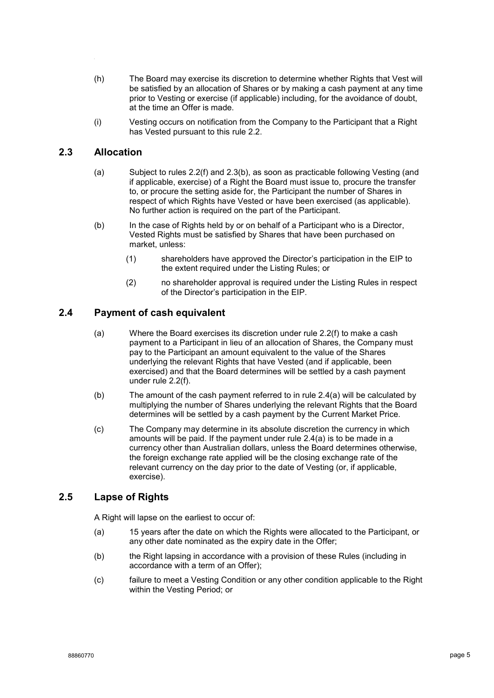- <span id="page-4-0"></span>(h) The Board may exercise its discretion to determine whether Rights that Vest will be satisfied by an allocation of Shares or by making a cash payment at any time prior to Vesting or exercise (if applicable) including, for the avoidance of doubt, at the time an Offer is made.
- (i) Vesting occurs on notification from the Company to the Participant that a Right has Vested pursuant to this rule [2.2.](#page-3-2)

#### <span id="page-4-1"></span>**2.3 Allocation**

- (a) Subject to rules [2.2\(f\)](#page-3-0) and [2.3\(b\),](#page-4-3) as soon as practicable following Vesting (and if applicable, exercise) of a Right the Board must issue to, procure the transfer to, or procure the setting aside for, the Participant the number of Shares in respect of which Rights have Vested or have been exercised (as applicable). No further action is required on the part of the Participant.
- <span id="page-4-3"></span>(b) In the case of Rights held by or on behalf of a Participant who is a Director, Vested Rights must be satisfied by Shares that have been purchased on market, unless:
	- (1) shareholders have approved the Director's participation in the EIP to the extent required under the Listing Rules; or
	- (2) no shareholder approval is required under the Listing Rules in respect of the Director's participation in the EIP.

#### <span id="page-4-4"></span><span id="page-4-2"></span>**2.4 Payment of cash equivalent**

- (a) Where the Board exercises its discretion under rule [2.2\(f\)](#page-3-0) to make a cash payment to a Participant in lieu of an allocation of Shares, the Company must pay to the Participant an amount equivalent to the value of the Shares underlying the relevant Rights that have Vested (and if applicable, been exercised) and that the Board determines will be settled by a cash payment under rule [2.2\(f\).](#page-3-0)
- (b) The amount of the cash payment referred to in rule [2.4\(a\)](#page-4-4) will be calculated by multiplying the number of Shares underlying the relevant Rights that the Board determines will be settled by a cash payment by the Current Market Price.
- (c) The Company may determine in its absolute discretion the currency in which amounts will be paid. If the payment under rule [2.4\(a\)](#page-4-4) is to be made in a currency other than Australian dollars, unless the Board determines otherwise, the foreign exchange rate applied will be the closing exchange rate of the relevant currency on the day prior to the date of Vesting (or, if applicable, exercise).

#### **2.5 Lapse of Rights**

A Right will lapse on the earliest to occur of:

- (a) 15 years after the date on which the Rights were allocated to the Participant, or any other date nominated as the expiry date in the Offer;
- (b) the Right lapsing in accordance with a provision of these Rules (including in accordance with a term of an Offer);
- (c) failure to meet a Vesting Condition or any other condition applicable to the Right within the Vesting Period; or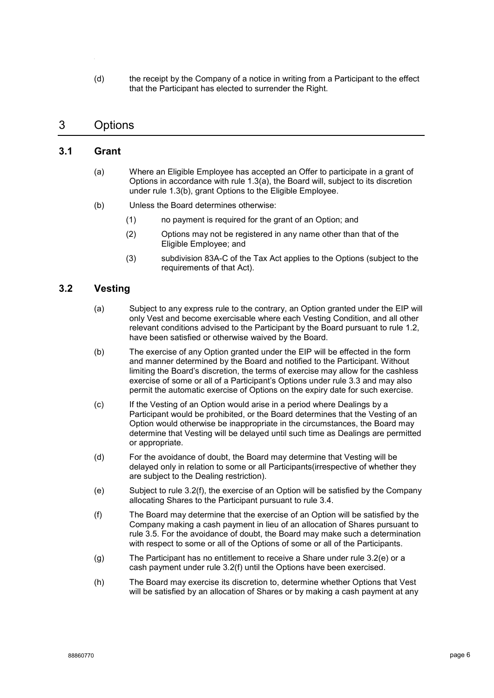(d) the receipt by the Company of a notice in writing from a Participant to the effect that the Participant has elected to surrender the Right.

### 3 Options

#### **3.1 Grant**

- (a) Where an Eligible Employee has accepted an Offer to participate in a grant of Options in accordance with rule [1.3\(a\),](#page-2-0) the Board will, subject to its discretion under rule [1.3\(b\),](#page-2-2) grant Options to the Eligible Employee.
- (b) Unless the Board determines otherwise:
	- (1) no payment is required for the grant of an Option; and
	- (2) Options may not be registered in any name other than that of the Eligible Employee; and
	- (3) subdivision 83A-C of the Tax Act applies to the Options (subject to the requirements of that Act).

### <span id="page-5-3"></span>**3.2 Vesting**

- (a) Subject to any express rule to the contrary, an Option granted under the EIP will only Vest and become exercisable where each Vesting Condition, and all other relevant conditions advised to the Participant by the Board pursuant to rule [1.2,](#page-1-0) have been satisfied or otherwise waived by the Board.
- (b) The exercise of any Option granted under the EIP will be effected in the form and manner determined by the Board and notified to the Participant. Without limiting the Board's discretion, the terms of exercise may allow for the cashless exercise of some or all of a Participant's Options under rule [3.3](#page-6-0) and may also permit the automatic exercise of Options on the expiry date for such exercise.
- (c) If the Vesting of an Option would arise in a period where Dealings by a Participant would be prohibited, or the Board determines that the Vesting of an Option would otherwise be inappropriate in the circumstances, the Board may determine that Vesting will be delayed until such time as Dealings are permitted or appropriate.
- (d) For the avoidance of doubt, the Board may determine that Vesting will be delayed only in relation to some or all Participants(irrespective of whether they are subject to the Dealing restriction).
- <span id="page-5-2"></span>(e) Subject to rule [3.2\(f\),](#page-5-1) the exercise of an Option will be satisfied by the Company allocating Shares to the Participant pursuant to rule [3.4.](#page-6-1)
- <span id="page-5-1"></span>(f) The Board may determine that the exercise of an Option will be satisfied by the Company making a cash payment in lieu of an allocation of Shares pursuant to rule [3.5.](#page-6-2) For the avoidance of doubt, the Board may make such a determination with respect to some or all of the Options of some or all of the Participants.
- (g) The Participant has no entitlement to receive a Share under rule [3.2\(e\)](#page-5-2) or a cash payment under rule [3.2\(f\)](#page-5-1) until the Options have been exercised.
- <span id="page-5-0"></span>(h) The Board may exercise its discretion to, determine whether Options that Vest will be satisfied by an allocation of Shares or by making a cash payment at any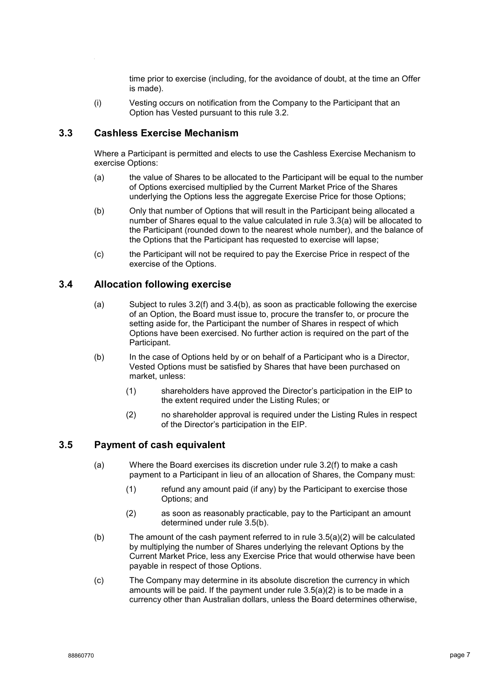time prior to exercise (including, for the avoidance of doubt, at the time an Offer is made).

(i) Vesting occurs on notification from the Company to the Participant that an Option has Vested pursuant to this rule [3.2.](#page-5-3)

#### <span id="page-6-0"></span>**3.3 Cashless Exercise Mechanism**

Where a Participant is permitted and elects to use the Cashless Exercise Mechanism to exercise Options:

- <span id="page-6-3"></span>(a) the value of Shares to be allocated to the Participant will be equal to the number of Options exercised multiplied by the Current Market Price of the Shares underlying the Options less the aggregate Exercise Price for those Options;
- (b) Only that number of Options that will result in the Participant being allocated a number of Shares equal to the value calculated in rule [3.3\(a\)](#page-6-3) will be allocated to the Participant (rounded down to the nearest whole number), and the balance of the Options that the Participant has requested to exercise will lapse;
- (c) the Participant will not be required to pay the Exercise Price in respect of the exercise of the Options.

#### <span id="page-6-1"></span>**3.4 Allocation following exercise**

- (a) Subject to rules [3.2\(f\)](#page-5-1) and [3.4\(b\),](#page-6-4) as soon as practicable following the exercise of an Option, the Board must issue to, procure the transfer to, or procure the setting aside for, the Participant the number of Shares in respect of which Options have been exercised. No further action is required on the part of the Participant.
- <span id="page-6-4"></span>(b) In the case of Options held by or on behalf of a Participant who is a Director, Vested Options must be satisfied by Shares that have been purchased on market, unless:
	- (1) shareholders have approved the Director's participation in the EIP to the extent required under the Listing Rules; or
	- (2) no shareholder approval is required under the Listing Rules in respect of the Director's participation in the EIP.

#### <span id="page-6-2"></span>**3.5 Payment of cash equivalent**

- (a) Where the Board exercises its discretion under rule [3.2\(f\)](#page-5-1) to make a cash payment to a Participant in lieu of an allocation of Shares, the Company must:
	- (1) refund any amount paid (if any) by the Participant to exercise those Options; and
	- (2) as soon as reasonably practicable, pay to the Participant an amount determined under rule [3.5\(b\).](#page-6-5)
- <span id="page-6-6"></span><span id="page-6-5"></span>(b) The amount of the cash payment referred to in rule  $3.5(a)(2)$  will be calculated by multiplying the number of Shares underlying the relevant Options by the Current Market Price, less any Exercise Price that would otherwise have been payable in respect of those Options.
- (c) The Company may determine in its absolute discretion the currency in which amounts will be paid. If the payment under rule [3.5\(a\)\(2\)](#page-6-6) is to be made in a currency other than Australian dollars, unless the Board determines otherwise,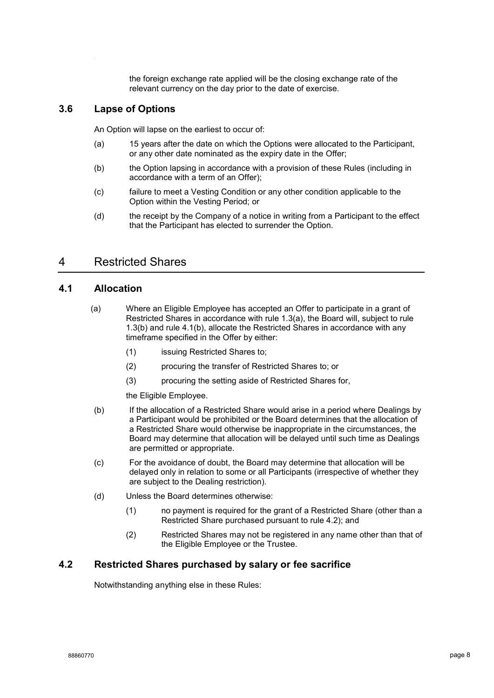the foreign exchange rate applied will be the closing exchange rate of the relevant currency on the day prior to the date of exercise.

#### **3.6 Lapse of Options**

An Option will lapse on the earliest to occur of:

- (a) 15 years after the date on which the Options were allocated to the Participant, or any other date nominated as the expiry date in the Offer;
- (b) the Option lapsing in accordance with a provision of these Rules (including in accordance with a term of an Offer);
- (c) failure to meet a Vesting Condition or any other condition applicable to the Option within the Vesting Period; or
- (d) the receipt by the Company of a notice in writing from a Participant to the effect that the Participant has elected to surrender the Option.

### 4 Restricted Shares

#### <span id="page-7-2"></span>**4.1 Allocation**

- (a) Where an Eligible Employee has accepted an Offer to participate in a grant of Restricted Shares in accordance with rule [1.3\(a\),](#page-2-0) the Board will, subject to rule [1.3\(b\)](#page-2-2) and rule [4.1\(b\),](#page-7-1) allocate the Restricted Shares in accordance with any timeframe specified in the Offer by either:
	- (1) issuing Restricted Shares to;
	- (2) procuring the transfer of Restricted Shares to; or
	- (3) procuring the setting aside of Restricted Shares for,

the Eligible Employee.

- <span id="page-7-1"></span>(b) If the allocation of a Restricted Share would arise in a period where Dealings by a Participant would be prohibited or the Board determines that the allocation of a Restricted Share would otherwise be inappropriate in the circumstances, the Board may determine that allocation will be delayed until such time as Dealings are permitted or appropriate.
- (c) For the avoidance of doubt, the Board may determine that allocation will be delayed only in relation to some or all Participants (irrespective of whether they are subject to the Dealing restriction).
- (d) Unless the Board determines otherwise:
	- (1) no payment is required for the grant of a Restricted Share (other than a Restricted Share purchased pursuant to rule [4.2\)](#page-7-0); and
	- (2) Restricted Shares may not be registered in any name other than that of the Eligible Employee or the Trustee.

#### <span id="page-7-0"></span>**4.2 Restricted Shares purchased by salary or fee sacrifice**

Notwithstanding anything else in these Rules: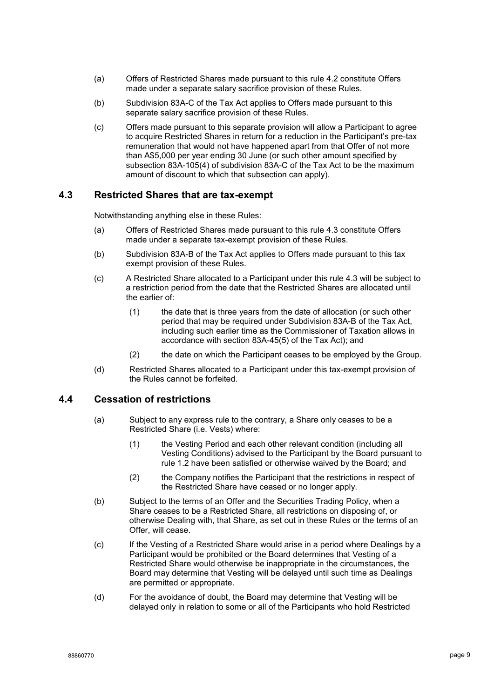- (a) Offers of Restricted Shares made pursuant to this rule [4.2](#page-7-0) constitute Offers made under a separate salary sacrifice provision of these Rules.
- (b) Subdivision 83A-C of the Tax Act applies to Offers made pursuant to this separate salary sacrifice provision of these Rules.
- (c) Offers made pursuant to this separate provision will allow a Participant to agree to acquire Restricted Shares in return for a reduction in the Participant's pre-tax remuneration that would not have happened apart from that Offer of not more than A\$5,000 per year ending 30 June (or such other amount specified by subsection 83A-105(4) of subdivision 83A-C of the Tax Act to be the maximum amount of discount to which that subsection can apply).

#### <span id="page-8-0"></span>**4.3 Restricted Shares that are tax-exempt**

Notwithstanding anything else in these Rules:

- (a) Offers of Restricted Shares made pursuant to this rule [4.3](#page-8-0) constitute Offers made under a separate tax-exempt provision of these Rules.
- (b) Subdivision 83A-B of the Tax Act applies to Offers made pursuant to this tax exempt provision of these Rules.
- (c) A Restricted Share allocated to a Participant under this rule [4.3](#page-8-0) will be subject to a restriction period from the date that the Restricted Shares are allocated until the earlier of:
	- (1) the date that is three years from the date of allocation (or such other period that may be required under Subdivision 83A-B of the Tax Act, including such earlier time as the Commissioner of Taxation allows in accordance with section 83A-45(5) of the Tax Act); and
	- (2) the date on which the Participant ceases to be employed by the Group.
- (d) Restricted Shares allocated to a Participant under this tax-exempt provision of the Rules cannot be forfeited.

#### <span id="page-8-2"></span><span id="page-8-1"></span>**4.4 Cessation of restrictions**

- (a) Subject to any express rule to the contrary, a Share only ceases to be a Restricted Share (i.e. Vests) where:
	- (1) the Vesting Period and each other relevant condition (including all Vesting Conditions) advised to the Participant by the Board pursuant to rule [1.2](#page-1-0) have been satisfied or otherwise waived by the Board; and
	- (2) the Company notifies the Participant that the restrictions in respect of the Restricted Share have ceased or no longer apply.
- (b) Subject to the terms of an Offer and the Securities Trading Policy, when a Share ceases to be a Restricted Share, all restrictions on disposing of, or otherwise Dealing with, that Share, as set out in these Rules or the terms of an Offer, will cease.
- (c) If the Vesting of a Restricted Share would arise in a period where Dealings by a Participant would be prohibited or the Board determines that Vesting of a Restricted Share would otherwise be inappropriate in the circumstances, the Board may determine that Vesting will be delayed until such time as Dealings are permitted or appropriate.
- (d) For the avoidance of doubt, the Board may determine that Vesting will be delayed only in relation to some or all of the Participants who hold Restricted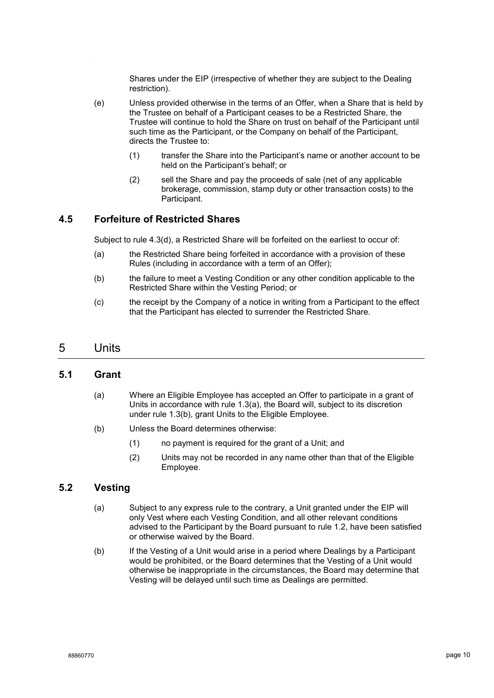Shares under the EIP (irrespective of whether they are subject to the Dealing restriction).

- (e) Unless provided otherwise in the terms of an Offer, when a Share that is held by the Trustee on behalf of a Participant ceases to be a Restricted Share, the Trustee will continue to hold the Share on trust on behalf of the Participant until such time as the Participant, or the Company on behalf of the Participant, directs the Trustee to:
	- (1) transfer the Share into the Participant's name or another account to be held on the Participant's behalf; or
	- (2) sell the Share and pay the proceeds of sale (net of any applicable brokerage, commission, stamp duty or other transaction costs) to the Participant.

#### **4.5 Forfeiture of Restricted Shares**

Subject to rule [4.3\(d\),](#page-8-1) a Restricted Share will be forfeited on the earliest to occur of:

- (a) the Restricted Share being forfeited in accordance with a provision of these Rules (including in accordance with a term of an Offer);
- (b) the failure to meet a Vesting Condition or any other condition applicable to the Restricted Share within the Vesting Period; or
- (c) the receipt by the Company of a notice in writing from a Participant to the effect that the Participant has elected to surrender the Restricted Share.

#### 5 Units

#### **5.1 Grant**

- (a) Where an Eligible Employee has accepted an Offer to participate in a grant of Units in accordance with rule [1.3\(a\),](#page-2-0) the Board will, subject to its discretion under rule [1.3\(b\),](#page-2-2) grant Units to the Eligible Employee.
- (b) Unless the Board determines otherwise:
	- (1) no payment is required for the grant of a Unit; and
	- (2) Units may not be recorded in any name other than that of the Eligible Employee.

#### <span id="page-9-0"></span>**5.2 Vesting**

- (a) Subject to any express rule to the contrary, a Unit granted under the EIP will only Vest where each Vesting Condition, and all other relevant conditions advised to the Participant by the Board pursuant to rule [1.2,](#page-1-0) have been satisfied or otherwise waived by the Board.
- (b) If the Vesting of a Unit would arise in a period where Dealings by a Participant would be prohibited, or the Board determines that the Vesting of a Unit would otherwise be inappropriate in the circumstances, the Board may determine that Vesting will be delayed until such time as Dealings are permitted.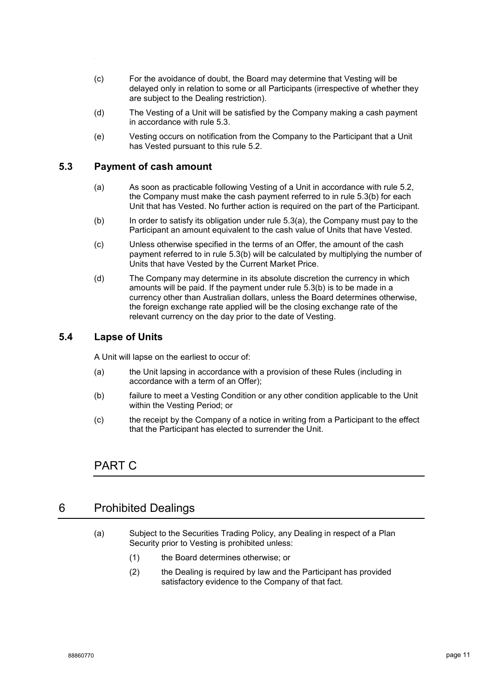- (c) For the avoidance of doubt, the Board may determine that Vesting will be delayed only in relation to some or all Participants (irrespective of whether they are subject to the Dealing restriction).
- (d) The Vesting of a Unit will be satisfied by the Company making a cash payment in accordance with rule [5.3.](#page-10-0)
- (e) Vesting occurs on notification from the Company to the Participant that a Unit has Vested pursuant to this rule [5.2.](#page-9-0)

#### <span id="page-10-2"></span><span id="page-10-0"></span>**5.3 Payment of cash amount**

- (a) As soon as practicable following Vesting of a Unit in accordance with rule [5.2,](#page-9-0) the Company must make the cash payment referred to in rule [5.3\(b\)](#page-10-1) for each Unit that has Vested. No further action is required on the part of the Participant.
- <span id="page-10-1"></span>(b) In order to satisfy its obligation under rule [5.3\(a\),](#page-10-2) the Company must pay to the Participant an amount equivalent to the cash value of Units that have Vested.
- (c) Unless otherwise specified in the terms of an Offer, the amount of the cash payment referred to in rule [5.3\(b\)](#page-10-1) will be calculated by multiplying the number of Units that have Vested by the Current Market Price.
- (d) The Company may determine in its absolute discretion the currency in which amounts will be paid. If the payment under rule [5.3\(b\)](#page-10-1) is to be made in a currency other than Australian dollars, unless the Board determines otherwise, the foreign exchange rate applied will be the closing exchange rate of the relevant currency on the day prior to the date of Vesting.

#### **5.4 Lapse of Units**

A Unit will lapse on the earliest to occur of:

- (a) the Unit lapsing in accordance with a provision of these Rules (including in accordance with a term of an Offer);
- (b) failure to meet a Vesting Condition or any other condition applicable to the Unit within the Vesting Period; or
- (c) the receipt by the Company of a notice in writing from a Participant to the effect that the Participant has elected to surrender the Unit.

#### PART C

#### <span id="page-10-3"></span>6 Prohibited Dealings

- (a) Subject to the Securities Trading Policy, any Dealing in respect of a Plan Security prior to Vesting is prohibited unless:
	- (1) the Board determines otherwise; or
	- (2) the Dealing is required by law and the Participant has provided satisfactory evidence to the Company of that fact.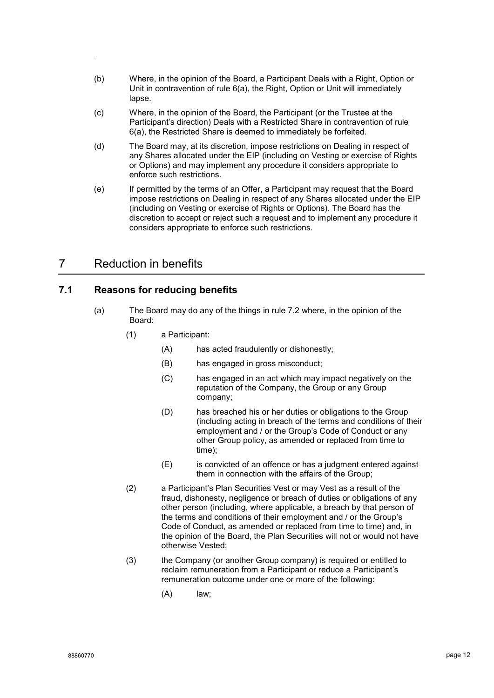- (b) Where, in the opinion of the Board, a Participant Deals with a Right, Option or Unit in contravention of rule [6\(a\),](#page-10-3) the Right, Option or Unit will immediately lapse.
- (c) Where, in the opinion of the Board, the Participant (or the Trustee at the Participant's direction) Deals with a Restricted Share in contravention of rule [6\(a\),](#page-10-3) the Restricted Share is deemed to immediately be forfeited.
- <span id="page-11-1"></span>(d) The Board may, at its discretion, impose restrictions on Dealing in respect of any Shares allocated under the EIP (including on Vesting or exercise of Rights or Options) and may implement any procedure it considers appropriate to enforce such restrictions.
- (e) If permitted by the terms of an Offer, a Participant may request that the Board impose restrictions on Dealing in respect of any Shares allocated under the EIP (including on Vesting or exercise of Rights or Options). The Board has the discretion to accept or reject such a request and to implement any procedure it considers appropriate to enforce such restrictions.

### <span id="page-11-0"></span>7 Reduction in benefits

#### **7.1 Reasons for reducing benefits**

- (a) The Board may do any of the things in rule [7.2](#page-12-0) where, in the opinion of the Board:
	- (1) a Participant:
		- (A) has acted fraudulently or dishonestly;
		- (B) has engaged in gross misconduct;
		- (C) has engaged in an act which may impact negatively on the reputation of the Company, the Group or any Group company;
		- (D) has breached his or her duties or obligations to the Group (including acting in breach of the terms and conditions of their employment and / or the Group's Code of Conduct or any other Group policy, as amended or replaced from time to time);
		- (E) is convicted of an offence or has a judgment entered against them in connection with the affairs of the Group;
	- (2) a Participant's Plan Securities Vest or may Vest as a result of the fraud, dishonesty, negligence or breach of duties or obligations of any other person (including, where applicable, a breach by that person of the terms and conditions of their employment and / or the Group's Code of Conduct, as amended or replaced from time to time) and, in the opinion of the Board, the Plan Securities will not or would not have otherwise Vested;
	- (3) the Company (or another Group company) is required or entitled to reclaim remuneration from a Participant or reduce a Participant's remuneration outcome under one or more of the following:
		- (A) law;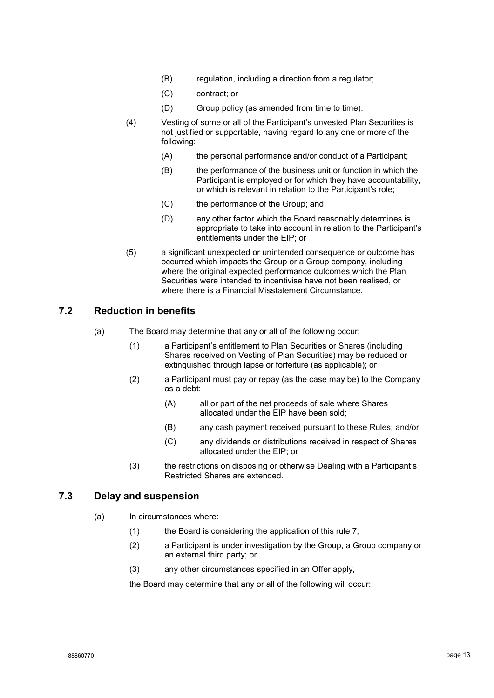- (B) regulation, including a direction from a regulator;
- (C) contract; or
- (D) Group policy (as amended from time to time).
- (4) Vesting of some or all of the Participant's unvested Plan Securities is not justified or supportable, having regard to any one or more of the following:
	- (A) the personal performance and/or conduct of a Participant;
	- (B) the performance of the business unit or function in which the Participant is employed or for which they have accountability, or which is relevant in relation to the Participant's role;
	- (C) the performance of the Group; and
	- (D) any other factor which the Board reasonably determines is appropriate to take into account in relation to the Participant's entitlements under the EIP; or
- (5) a significant unexpected or unintended consequence or outcome has occurred which impacts the Group or a Group company, including where the original expected performance outcomes which the Plan Securities were intended to incentivise have not been realised, or where there is a Financial Misstatement Circumstance.

#### <span id="page-12-0"></span>**7.2 Reduction in benefits**

- (a) The Board may determine that any or all of the following occur:
	- (1) a Participant's entitlement to Plan Securities or Shares (including Shares received on Vesting of Plan Securities) may be reduced or extinguished through lapse or forfeiture (as applicable); or
	- (2) a Participant must pay or repay (as the case may be) to the Company as a debt:
		- (A) all or part of the net proceeds of sale where Shares allocated under the EIP have been sold;
		- (B) any cash payment received pursuant to these Rules; and/or
		- (C) any dividends or distributions received in respect of Shares allocated under the EIP; or
	- (3) the restrictions on disposing or otherwise Dealing with a Participant's Restricted Shares are extended.

#### **7.3 Delay and suspension**

- (a) In circumstances where:
	- (1) the Board is considering the application of this rule [7;](#page-11-0)
	- (2) a Participant is under investigation by the Group, a Group company or an external third party; or
	- (3) any other circumstances specified in an Offer apply,

the Board may determine that any or all of the following will occur: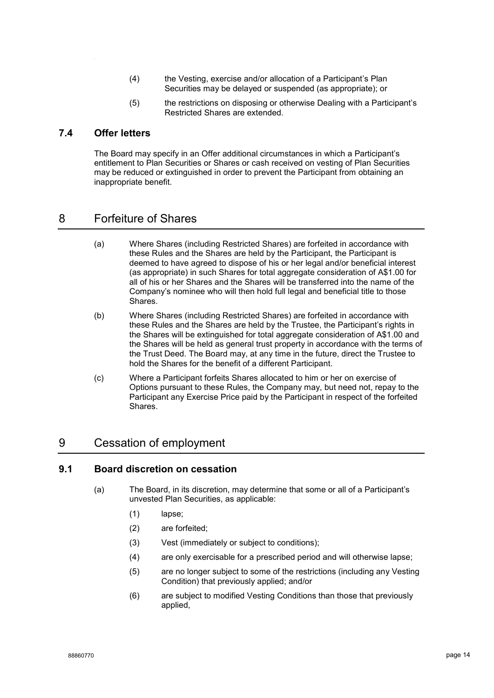- (4) the Vesting, exercise and/or allocation of a Participant's Plan Securities may be delayed or suspended (as appropriate); or
- (5) the restrictions on disposing or otherwise Dealing with a Participant's Restricted Shares are extended.

#### **7.4 Offer letters**

The Board may specify in an Offer additional circumstances in which a Participant's entitlement to Plan Securities or Shares or cash received on vesting of Plan Securities may be reduced or extinguished in order to prevent the Participant from obtaining an inappropriate benefit.

### <span id="page-13-3"></span>8 Forfeiture of Shares

- (a) Where Shares (including Restricted Shares) are forfeited in accordance with these Rules and the Shares are held by the Participant, the Participant is deemed to have agreed to dispose of his or her legal and/or beneficial interest (as appropriate) in such Shares for total aggregate consideration of A\$1.00 for all of his or her Shares and the Shares will be transferred into the name of the Company's nominee who will then hold full legal and beneficial title to those Shares.
- (b) Where Shares (including Restricted Shares) are forfeited in accordance with these Rules and the Shares are held by the Trustee, the Participant's rights in the Shares will be extinguished for total aggregate consideration of A\$1.00 and the Shares will be held as general trust property in accordance with the terms of the Trust Deed. The Board may, at any time in the future, direct the Trustee to hold the Shares for the benefit of a different Participant.
- (c) Where a Participant forfeits Shares allocated to him or her on exercise of Options pursuant to these Rules, the Company may, but need not, repay to the Participant any Exercise Price paid by the Participant in respect of the forfeited Shares.

### <span id="page-13-0"></span>9 Cessation of employment

#### <span id="page-13-2"></span><span id="page-13-1"></span>**9.1 Board discretion on cessation**

- (a) The Board, in its discretion, may determine that some or all of a Participant's unvested Plan Securities, as applicable:
	- (1) lapse;
	- (2) are forfeited;
	- (3) Vest (immediately or subject to conditions);
	- (4) are only exercisable for a prescribed period and will otherwise lapse;
	- (5) are no longer subject to some of the restrictions (including any Vesting Condition) that previously applied; and/or
	- (6) are subject to modified Vesting Conditions than those that previously applied,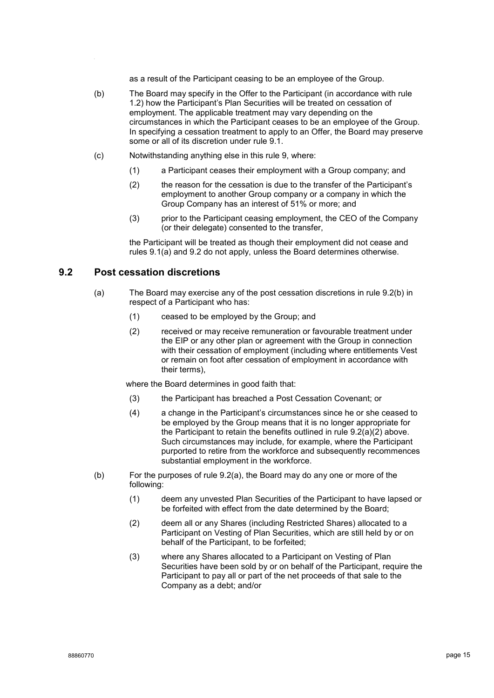as a result of the Participant ceasing to be an employee of the Group.

- (b) The Board may specify in the Offer to the Participant (in accordance with rule [1.2\)](#page-1-0) how the Participant's Plan Securities will be treated on cessation of employment. The applicable treatment may vary depending on the circumstances in which the Participant ceases to be an employee of the Group. In specifying a cessation treatment to apply to an Offer, the Board may preserve some or all of its discretion under rule [9.1.](#page-13-1)
- (c) Notwithstanding anything else in this rule [9,](#page-13-0) where:
	- (1) a Participant ceases their employment with a Group company; and
	- (2) the reason for the cessation is due to the transfer of the Participant's employment to another Group company or a company in which the Group Company has an interest of 51% or more; and
	- (3) prior to the Participant ceasing employment, the CEO of the Company (or their delegate) consented to the transfer,

the Participant will be treated as though their employment did not cease and rules [9.1\(a\)](#page-13-2) and [9.2](#page-14-0) do not apply, unless the Board determines otherwise.

#### <span id="page-14-3"></span><span id="page-14-0"></span>**9.2 Post cessation discretions**

- <span id="page-14-2"></span>(a) The Board may exercise any of the post cessation discretions in rule [9.2\(b\)](#page-14-1) in respect of a Participant who has:
	- (1) ceased to be employed by the Group; and
	- (2) received or may receive remuneration or favourable treatment under the EIP or any other plan or agreement with the Group in connection with their cessation of employment (including where entitlements Vest or remain on foot after cessation of employment in accordance with their terms),

where the Board determines in good faith that:

- (3) the Participant has breached a Post Cessation Covenant; or
- (4) a change in the Participant's circumstances since he or she ceased to be employed by the Group means that it is no longer appropriate for the Participant to retain the benefits outlined in rule [9.2\(a\)\(2\)](#page-14-2) above. Such circumstances may include, for example, where the Participant purported to retire from the workforce and subsequently recommences substantial employment in the workforce.
- <span id="page-14-1"></span>(b) For the purposes of rule [9.2\(a\),](#page-14-3) the Board may do any one or more of the following:
	- (1) deem any unvested Plan Securities of the Participant to have lapsed or be forfeited with effect from the date determined by the Board;
	- (2) deem all or any Shares (including Restricted Shares) allocated to a Participant on Vesting of Plan Securities, which are still held by or on behalf of the Participant, to be forfeited;
	- (3) where any Shares allocated to a Participant on Vesting of Plan Securities have been sold by or on behalf of the Participant, require the Participant to pay all or part of the net proceeds of that sale to the Company as a debt; and/or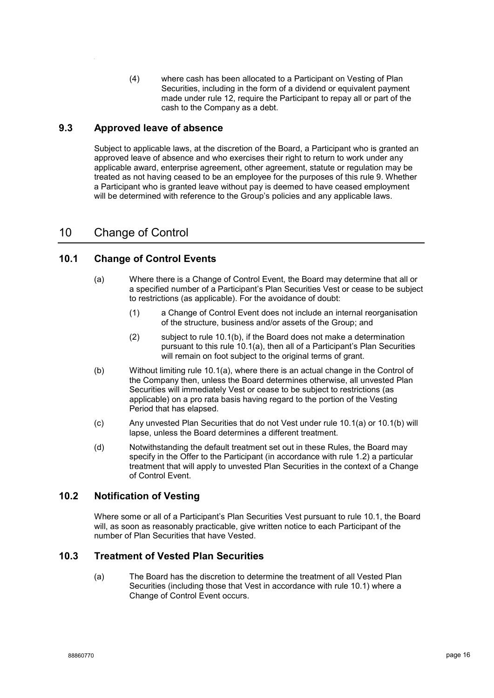(4) where cash has been allocated to a Participant on Vesting of Plan Securities, including in the form of a dividend or equivalent payment made under rule [12,](#page-17-0) require the Participant to repay all or part of the cash to the Company as a debt.

#### **9.3 Approved leave of absence**

Subject to applicable laws, at the discretion of the Board, a Participant who is granted an approved leave of absence and who exercises their right to return to work under any applicable award, enterprise agreement, other agreement, statute or regulation may be treated as not having ceased to be an employee for the purposes of this rule [9.](#page-13-0) Whether a Participant who is granted leave without pay is deemed to have ceased employment will be determined with reference to the Group's policies and any applicable laws.

### 10 Change of Control

#### <span id="page-15-2"></span><span id="page-15-1"></span>**10.1 Change of Control Events**

- (a) Where there is a Change of Control Event, the Board may determine that all or a specified number of a Participant's Plan Securities Vest or cease to be subject to restrictions (as applicable). For the avoidance of doubt:
	- (1) a Change of Control Event does not include an internal reorganisation of the structure, business and/or assets of the Group; and
	- (2) subject to rule [10.1\(b\),](#page-15-0) if the Board does not make a determination pursuant to this rule [10.1\(a\),](#page-15-1) then all of a Participant's Plan Securities will remain on foot subject to the original terms of grant.
- <span id="page-15-0"></span>(b) Without limiting rule [10.1\(a\),](#page-15-1) where there is an actual change in the Control of the Company then, unless the Board determines otherwise, all unvested Plan Securities will immediately Vest or cease to be subject to restrictions (as applicable) on a pro rata basis having regard to the portion of the Vesting Period that has elapsed.
- (c) Any unvested Plan Securities that do not Vest under rule [10.1\(a\)](#page-15-1) or [10.1\(b\)](#page-15-0) will lapse, unless the Board determines a different treatment.
- (d) Notwithstanding the default treatment set out in these Rules, the Board may specify in the Offer to the Participant (in accordance with rule [1.2\)](#page-1-0) a particular treatment that will apply to unvested Plan Securities in the context of a Change of Control Event.

#### **10.2 Notification of Vesting**

Where some or all of a Participant's Plan Securities Vest pursuant to rule [10.1,](#page-15-2) the Board will, as soon as reasonably practicable, give written notice to each Participant of the number of Plan Securities that have Vested.

#### <span id="page-15-3"></span>**10.3 Treatment of Vested Plan Securities**

(a) The Board has the discretion to determine the treatment of all Vested Plan Securities (including those that Vest in accordance with rule [10.1\)](#page-15-2) where a Change of Control Event occurs.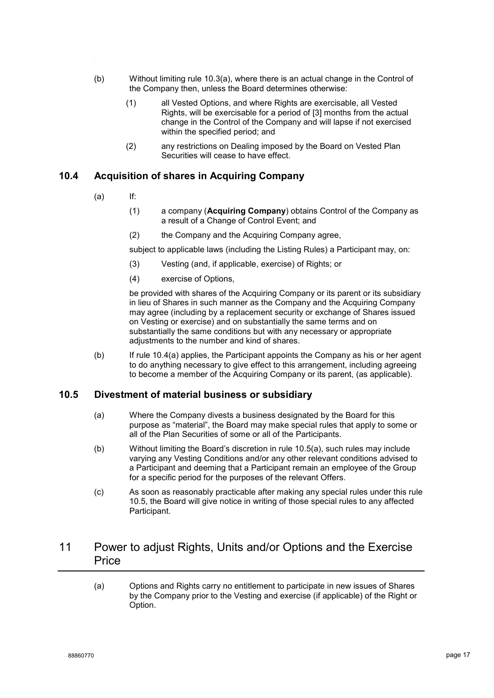- (b) Without limiting rule [10.3\(a\),](#page-15-3) where there is an actual change in the Control of the Company then, unless the Board determines otherwise:
	- (1) all Vested Options, and where Rights are exercisable, all Vested Rights, will be exercisable for a period of [3] months from the actual change in the Control of the Company and will lapse if not exercised within the specified period; and
	- (2) any restrictions on Dealing imposed by the Board on Vested Plan Securities will cease to have effect.

#### <span id="page-16-0"></span>**10.4 Acquisition of shares in Acquiring Company**

- $(a)$  If:
	- (1) a company (**Acquiring Company**) obtains Control of the Company as a result of a Change of Control Event; and
	- (2) the Company and the Acquiring Company agree,

subject to applicable laws (including the Listing Rules) a Participant may, on:

- (3) Vesting (and, if applicable, exercise) of Rights; or
- (4) exercise of Options,

be provided with shares of the Acquiring Company or its parent or its subsidiary in lieu of Shares in such manner as the Company and the Acquiring Company may agree (including by a replacement security or exchange of Shares issued on Vesting or exercise) and on substantially the same terms and on substantially the same conditions but with any necessary or appropriate adjustments to the number and kind of shares.

(b) If rule [10.4\(a\)](#page-16-0) applies, the Participant appoints the Company as his or her agent to do anything necessary to give effect to this arrangement, including agreeing to become a member of the Acquiring Company or its parent, (as applicable).

#### <span id="page-16-2"></span><span id="page-16-1"></span>**10.5 Divestment of material business or subsidiary**

- (a) Where the Company divests a business designated by the Board for this purpose as "material", the Board may make special rules that apply to some or all of the Plan Securities of some or all of the Participants.
- (b) Without limiting the Board's discretion in rule [10.5\(a\),](#page-16-1) such rules may include varying any Vesting Conditions and/or any other relevant conditions advised to a Participant and deeming that a Participant remain an employee of the Group for a specific period for the purposes of the relevant Offers.
- (c) As soon as reasonably practicable after making any special rules under this rule [10.5,](#page-16-2) the Board will give notice in writing of those special rules to any affected Participant.

### <span id="page-16-3"></span>11 Power to adjust Rights, Units and/or Options and the Exercise **Price**

(a) Options and Rights carry no entitlement to participate in new issues of Shares by the Company prior to the Vesting and exercise (if applicable) of the Right or Option.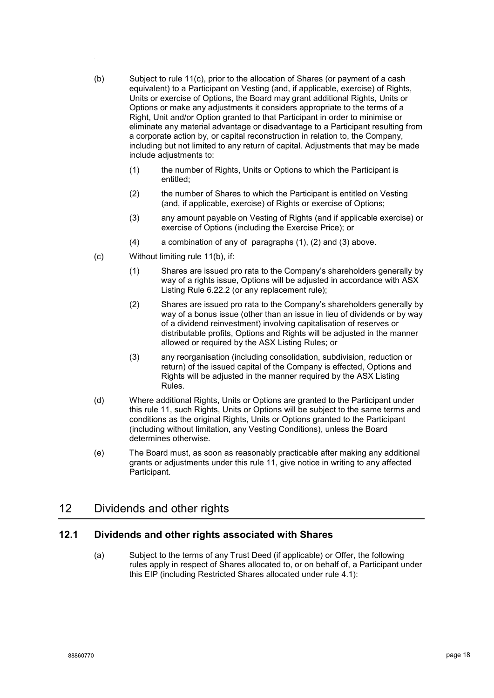- <span id="page-17-5"></span>(b) Subject to rule [11\(c\),](#page-17-1) prior to the allocation of Shares (or payment of a cash equivalent) to a Participant on Vesting (and, if applicable, exercise) of Rights, Units or exercise of Options, the Board may grant additional Rights, Units or Options or make any adjustments it considers appropriate to the terms of a Right, Unit and/or Option granted to that Participant in order to minimise or eliminate any material advantage or disadvantage to a Participant resulting from a corporate action by, or capital reconstruction in relation to, the Company, including but not limited to any return of capital. Adjustments that may be made include adjustments to:
	- (1) the number of Rights, Units or Options to which the Participant is entitled;
	- (2) the number of Shares to which the Participant is entitled on Vesting (and, if applicable, exercise) of Rights or exercise of Options;
	- (3) any amount payable on Vesting of Rights (and if applicable exercise) or exercise of Options (including the Exercise Price); or
	- (4) a combination of any of paragraphs [\(1\),](#page-17-2) [\(2\)](#page-17-3) and [\(3\)](#page-17-4) above.
- <span id="page-17-4"></span><span id="page-17-3"></span><span id="page-17-2"></span><span id="page-17-1"></span>(c) Without limiting rule [11\(b\),](#page-17-5) if:
	- (1) Shares are issued pro rata to the Company's shareholders generally by way of a rights issue, Options will be adjusted in accordance with ASX Listing Rule 6.22.2 (or any replacement rule);
	- (2) Shares are issued pro rata to the Company's shareholders generally by way of a bonus issue (other than an issue in lieu of dividends or by way of a dividend reinvestment) involving capitalisation of reserves or distributable profits, Options and Rights will be adjusted in the manner allowed or required by the ASX Listing Rules; or
	- (3) any reorganisation (including consolidation, subdivision, reduction or return) of the issued capital of the Company is effected, Options and Rights will be adjusted in the manner required by the ASX Listing Rules.
- (d) Where additional Rights, Units or Options are granted to the Participant under this rule [11,](#page-16-3) such Rights, Units or Options will be subject to the same terms and conditions as the original Rights, Units or Options granted to the Participant (including without limitation, any Vesting Conditions), unless the Board determines otherwise.
- (e) The Board must, as soon as reasonably practicable after making any additional grants or adjustments under this rule [11,](#page-16-3) give notice in writing to any affected Participant.

### <span id="page-17-0"></span>12 Dividends and other rights

#### <span id="page-17-6"></span>**12.1 Dividends and other rights associated with Shares**

(a) Subject to the terms of any Trust Deed (if applicable) or Offer, the following rules apply in respect of Shares allocated to, or on behalf of, a Participant under this EIP (including Restricted Shares allocated under rule [4.1\)](#page-7-2):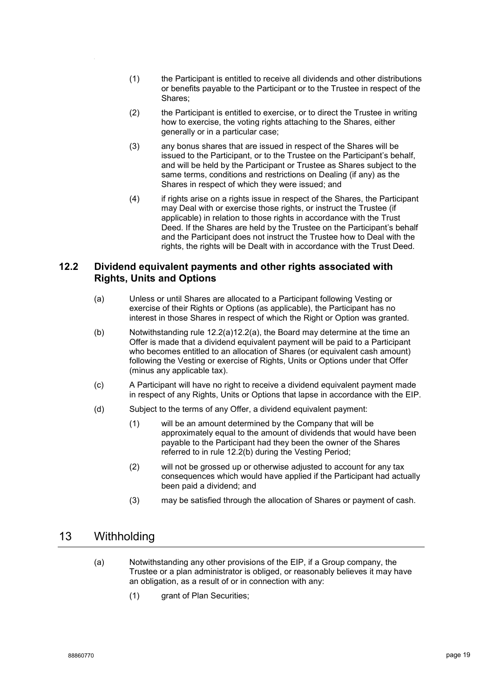- (1) the Participant is entitled to receive all dividends and other distributions or benefits payable to the Participant or to the Trustee in respect of the Shares;
- (2) the Participant is entitled to exercise, or to direct the Trustee in writing how to exercise, the voting rights attaching to the Shares, either generally or in a particular case;
- (3) any bonus shares that are issued in respect of the Shares will be issued to the Participant, or to the Trustee on the Participant's behalf, and will be held by the Participant or Trustee as Shares subject to the same terms, conditions and restrictions on Dealing (if any) as the Shares in respect of which they were issued; and
- (4) if rights arise on a rights issue in respect of the Shares, the Participant may Deal with or exercise those rights, or instruct the Trustee (if applicable) in relation to those rights in accordance with the Trust Deed. If the Shares are held by the Trustee on the Participant's behalf and the Participant does not instruct the Trustee how to Deal with the rights, the rights will be Dealt with in accordance with the Trust Deed.

#### <span id="page-18-0"></span>**12.2 Dividend equivalent payments and other rights associated with Rights, Units and Options**

- (a) Unless or until Shares are allocated to a Participant following Vesting or exercise of their Rights or Options (as applicable), the Participant has no interest in those Shares in respect of which the Right or Option was granted.
- <span id="page-18-1"></span>(b) Notwithstanding rule  $12.2(a)12.2(a)$ , the Board may determine at the time an Offer is made that a dividend equivalent payment will be paid to a Participant who becomes entitled to an allocation of Shares (or equivalent cash amount) following the Vesting or exercise of Rights, Units or Options under that Offer (minus any applicable tax).
- (c) A Participant will have no right to receive a dividend equivalent payment made in respect of any Rights, Units or Options that lapse in accordance with the EIP.
- (d) Subject to the terms of any Offer, a dividend equivalent payment:
	- (1) will be an amount determined by the Company that will be approximately equal to the amount of dividends that would have been payable to the Participant had they been the owner of the Shares referred to in rule [12.2\(b\)](#page-18-1) during the Vesting Period;
	- (2) will not be grossed up or otherwise adjusted to account for any tax consequences which would have applied if the Participant had actually been paid a dividend; and
	- (3) may be satisfied through the allocation of Shares or payment of cash.

### <span id="page-18-2"></span>13 Withholding

- (a) Notwithstanding any other provisions of the EIP, if a Group company, the Trustee or a plan administrator is obliged, or reasonably believes it may have an obligation, as a result of or in connection with any:
	- (1) grant of Plan Securities;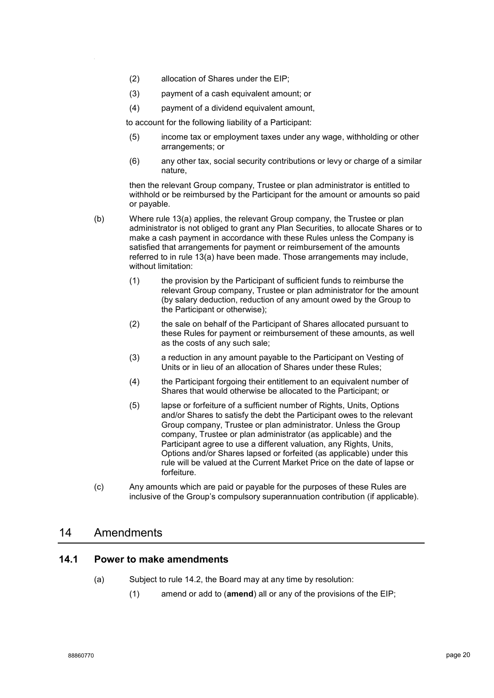- (2) allocation of Shares under the EIP;
- (3) payment of a cash equivalent amount; or
- (4) payment of a dividend equivalent amount,

to account for the following liability of a Participant:

- (5) income tax or employment taxes under any wage, withholding or other arrangements; or
- (6) any other tax, social security contributions or levy or charge of a similar nature,

then the relevant Group company, Trustee or plan administrator is entitled to withhold or be reimbursed by the Participant for the amount or amounts so paid or payable.

- (b) Where rule [13\(a\)](#page-18-2) applies, the relevant Group company, the Trustee or plan administrator is not obliged to grant any Plan Securities, to allocate Shares or to make a cash payment in accordance with these Rules unless the Company is satisfied that arrangements for payment or reimbursement of the amounts referred to in rule [13\(a\)](#page-18-2) have been made. Those arrangements may include, without limitation:
	- (1) the provision by the Participant of sufficient funds to reimburse the relevant Group company, Trustee or plan administrator for the amount (by salary deduction, reduction of any amount owed by the Group to the Participant or otherwise);
	- (2) the sale on behalf of the Participant of Shares allocated pursuant to these Rules for payment or reimbursement of these amounts, as well as the costs of any such sale;
	- (3) a reduction in any amount payable to the Participant on Vesting of Units or in lieu of an allocation of Shares under these Rules;
	- (4) the Participant forgoing their entitlement to an equivalent number of Shares that would otherwise be allocated to the Participant; or
	- (5) lapse or forfeiture of a sufficient number of Rights, Units, Options and/or Shares to satisfy the debt the Participant owes to the relevant Group company, Trustee or plan administrator. Unless the Group company, Trustee or plan administrator (as applicable) and the Participant agree to use a different valuation, any Rights, Units, Options and/or Shares lapsed or forfeited (as applicable) under this rule will be valued at the Current Market Price on the date of lapse or forfeiture.
- (c) Any amounts which are paid or payable for the purposes of these Rules are inclusive of the Group's compulsory superannuation contribution (if applicable).

#### 14 Amendments

#### <span id="page-19-1"></span><span id="page-19-0"></span>**14.1 Power to make amendments**

- (a) Subject to rule [14.2,](#page-20-0) the Board may at any time by resolution:
	- (1) amend or add to (**amend**) all or any of the provisions of the EIP;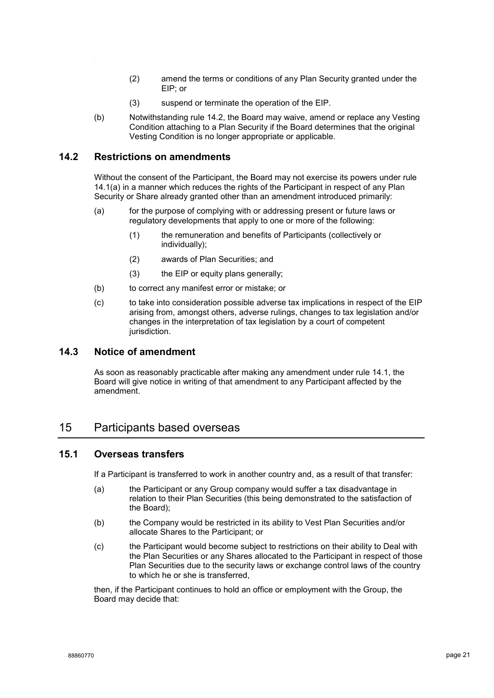- (2) amend the terms or conditions of any Plan Security granted under the EIP; or
- (3) suspend or terminate the operation of the EIP.
- (b) Notwithstanding rule [14.2,](#page-20-0) the Board may waive, amend or replace any Vesting Condition attaching to a Plan Security if the Board determines that the original Vesting Condition is no longer appropriate or applicable.

#### <span id="page-20-0"></span>**14.2 Restrictions on amendments**

Without the consent of the Participant, the Board may not exercise its powers under rule [14.1\(a\)](#page-19-0) in a manner which reduces the rights of the Participant in respect of any Plan Security or Share already granted other than an amendment introduced primarily:

- (a) for the purpose of complying with or addressing present or future laws or regulatory developments that apply to one or more of the following:
	- (1) the remuneration and benefits of Participants (collectively or individually);
	- (2) awards of Plan Securities; and
	- (3) the EIP or equity plans generally;
- (b) to correct any manifest error or mistake; or
- (c) to take into consideration possible adverse tax implications in respect of the EIP arising from, amongst others, adverse rulings, changes to tax legislation and/or changes in the interpretation of tax legislation by a court of competent jurisdiction.

#### **14.3 Notice of amendment**

As soon as reasonably practicable after making any amendment under rule [14.1,](#page-19-1) the Board will give notice in writing of that amendment to any Participant affected by the amendment.

#### 15 Participants based overseas

#### **15.1 Overseas transfers**

If a Participant is transferred to work in another country and, as a result of that transfer:

- (a) the Participant or any Group company would suffer a tax disadvantage in relation to their Plan Securities (this being demonstrated to the satisfaction of the Board);
- (b) the Company would be restricted in its ability to Vest Plan Securities and/or allocate Shares to the Participant; or
- (c) the Participant would become subject to restrictions on their ability to Deal with the Plan Securities or any Shares allocated to the Participant in respect of those Plan Securities due to the security laws or exchange control laws of the country to which he or she is transferred,

then, if the Participant continues to hold an office or employment with the Group, the Board may decide that: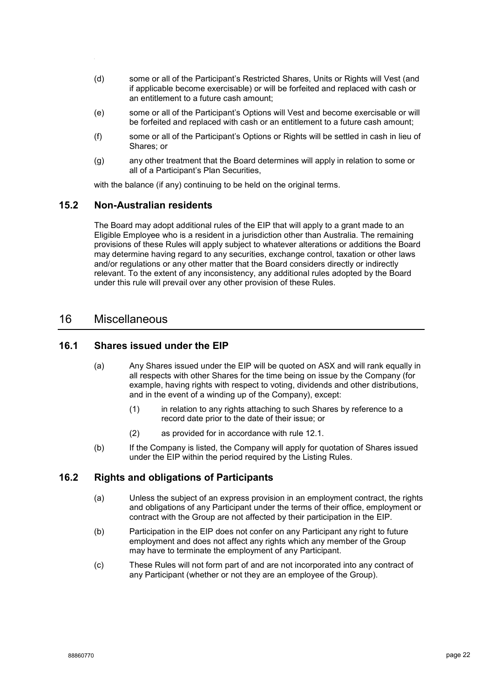- (d) some or all of the Participant's Restricted Shares, Units or Rights will Vest (and if applicable become exercisable) or will be forfeited and replaced with cash or an entitlement to a future cash amount;
- (e) some or all of the Participant's Options will Vest and become exercisable or will be forfeited and replaced with cash or an entitlement to a future cash amount;
- (f) some or all of the Participant's Options or Rights will be settled in cash in lieu of Shares; or
- (g) any other treatment that the Board determines will apply in relation to some or all of a Participant's Plan Securities,

with the balance (if any) continuing to be held on the original terms.

#### **15.2 Non-Australian residents**

The Board may adopt additional rules of the EIP that will apply to a grant made to an Eligible Employee who is a resident in a jurisdiction other than Australia. The remaining provisions of these Rules will apply subject to whatever alterations or additions the Board may determine having regard to any securities, exchange control, taxation or other laws and/or regulations or any other matter that the Board considers directly or indirectly relevant. To the extent of any inconsistency, any additional rules adopted by the Board under this rule will prevail over any other provision of these Rules.

#### 16 Miscellaneous

#### **16.1 Shares issued under the EIP**

- (a) Any Shares issued under the EIP will be quoted on ASX and will rank equally in all respects with other Shares for the time being on issue by the Company (for example, having rights with respect to voting, dividends and other distributions, and in the event of a winding up of the Company), except:
	- (1) in relation to any rights attaching to such Shares by reference to a record date prior to the date of their issue; or
	- (2) as provided for in accordance with rule [12.1.](#page-17-6)
- (b) If the Company is listed, the Company will apply for quotation of Shares issued under the EIP within the period required by the Listing Rules.

#### **16.2 Rights and obligations of Participants**

- (a) Unless the subject of an express provision in an employment contract, the rights and obligations of any Participant under the terms of their office, employment or contract with the Group are not affected by their participation in the EIP.
- (b) Participation in the EIP does not confer on any Participant any right to future employment and does not affect any rights which any member of the Group may have to terminate the employment of any Participant.
- (c) These Rules will not form part of and are not incorporated into any contract of any Participant (whether or not they are an employee of the Group).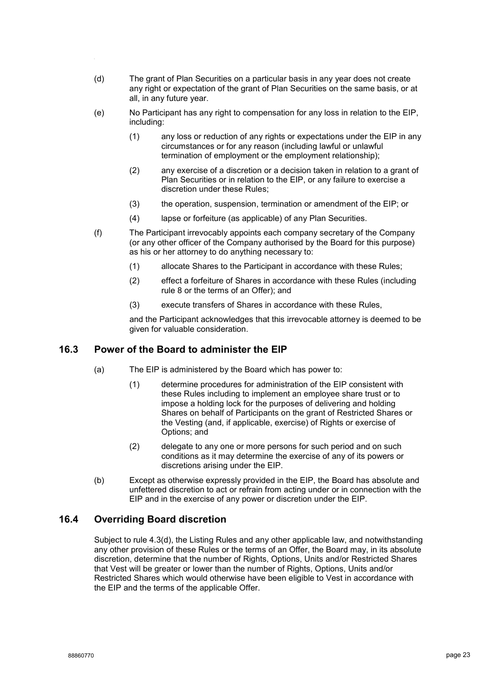- (d) The grant of Plan Securities on a particular basis in any year does not create any right or expectation of the grant of Plan Securities on the same basis, or at all, in any future year.
- (e) No Participant has any right to compensation for any loss in relation to the EIP, including:
	- (1) any loss or reduction of any rights or expectations under the EIP in any circumstances or for any reason (including lawful or unlawful termination of employment or the employment relationship);
	- (2) any exercise of a discretion or a decision taken in relation to a grant of Plan Securities or in relation to the EIP, or any failure to exercise a discretion under these Rules;
	- (3) the operation, suspension, termination or amendment of the EIP; or
	- (4) lapse or forfeiture (as applicable) of any Plan Securities.
- (f) The Participant irrevocably appoints each company secretary of the Company (or any other officer of the Company authorised by the Board for this purpose) as his or her attorney to do anything necessary to:
	- (1) allocate Shares to the Participant in accordance with these Rules;
	- (2) effect a forfeiture of Shares in accordance with these Rules (including rule [8](#page-13-3) or the terms of an Offer); and
	- (3) execute transfers of Shares in accordance with these Rules,

and the Participant acknowledges that this irrevocable attorney is deemed to be given for valuable consideration.

#### **16.3 Power of the Board to administer the EIP**

- (a) The EIP is administered by the Board which has power to:
	- (1) determine procedures for administration of the EIP consistent with these Rules including to implement an employee share trust or to impose a holding lock for the purposes of delivering and holding Shares on behalf of Participants on the grant of Restricted Shares or the Vesting (and, if applicable, exercise) of Rights or exercise of Options; and
	- (2) delegate to any one or more persons for such period and on such conditions as it may determine the exercise of any of its powers or discretions arising under the EIP.
- (b) Except as otherwise expressly provided in the EIP, the Board has absolute and unfettered discretion to act or refrain from acting under or in connection with the EIP and in the exercise of any power or discretion under the EIP.

#### **16.4 Overriding Board discretion**

Subject to rule [4.3\(d\),](#page-8-1) the Listing Rules and any other applicable law, and notwithstanding any other provision of these Rules or the terms of an Offer, the Board may, in its absolute discretion, determine that the number of Rights, Options, Units and/or Restricted Shares that Vest will be greater or lower than the number of Rights, Options, Units and/or Restricted Shares which would otherwise have been eligible to Vest in accordance with the EIP and the terms of the applicable Offer.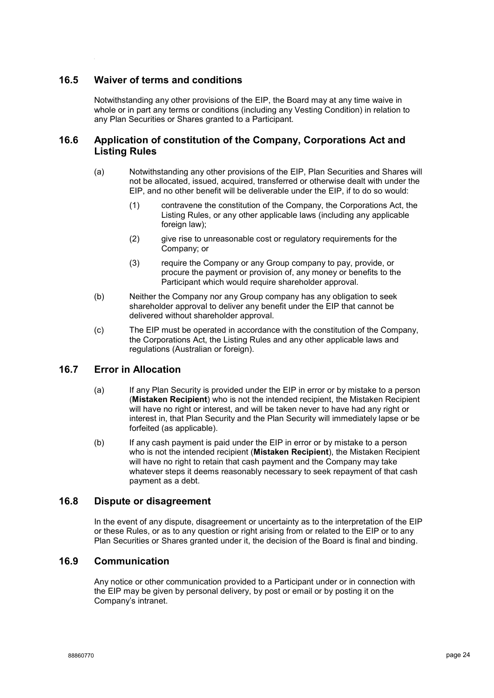#### **16.5 Waiver of terms and conditions**

Notwithstanding any other provisions of the EIP, the Board may at any time waive in whole or in part any terms or conditions (including any Vesting Condition) in relation to any Plan Securities or Shares granted to a Participant.

#### **16.6 Application of constitution of the Company, Corporations Act and Listing Rules**

- (a) Notwithstanding any other provisions of the EIP, Plan Securities and Shares will not be allocated, issued, acquired, transferred or otherwise dealt with under the EIP, and no other benefit will be deliverable under the EIP, if to do so would:
	- (1) contravene the constitution of the Company, the Corporations Act, the Listing Rules, or any other applicable laws (including any applicable foreign law);
	- (2) give rise to unreasonable cost or regulatory requirements for the Company; or
	- (3) require the Company or any Group company to pay, provide, or procure the payment or provision of, any money or benefits to the Participant which would require shareholder approval.
- (b) Neither the Company nor any Group company has any obligation to seek shareholder approval to deliver any benefit under the EIP that cannot be delivered without shareholder approval.
- (c) The EIP must be operated in accordance with the constitution of the Company, the Corporations Act, the Listing Rules and any other applicable laws and regulations (Australian or foreign).

#### **16.7 Error in Allocation**

- (a) If any Plan Security is provided under the EIP in error or by mistake to a person (**Mistaken Recipient**) who is not the intended recipient, the Mistaken Recipient will have no right or interest, and will be taken never to have had any right or interest in, that Plan Security and the Plan Security will immediately lapse or be forfeited (as applicable).
- (b) If any cash payment is paid under the EIP in error or by mistake to a person who is not the intended recipient (**Mistaken Recipient**), the Mistaken Recipient will have no right to retain that cash payment and the Company may take whatever steps it deems reasonably necessary to seek repayment of that cash payment as a debt.

#### **16.8 Dispute or disagreement**

In the event of any dispute, disagreement or uncertainty as to the interpretation of the EIP or these Rules, or as to any question or right arising from or related to the EIP or to any Plan Securities or Shares granted under it, the decision of the Board is final and binding.

#### **16.9 Communication**

Any notice or other communication provided to a Participant under or in connection with the EIP may be given by personal delivery, by post or email or by posting it on the Company's intranet.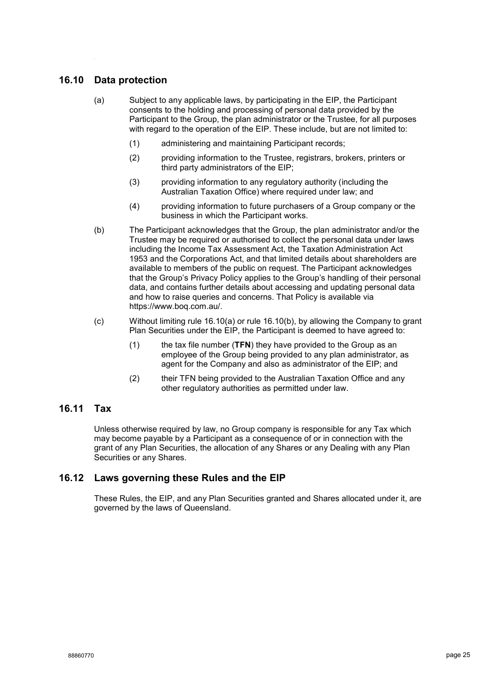#### <span id="page-24-0"></span>**16.10 Data protection**

- (a) Subject to any applicable laws, by participating in the EIP, the Participant consents to the holding and processing of personal data provided by the Participant to the Group, the plan administrator or the Trustee, for all purposes with regard to the operation of the EIP. These include, but are not limited to:
	- (1) administering and maintaining Participant records;
	- (2) providing information to the Trustee, registrars, brokers, printers or third party administrators of the EIP;
	- (3) providing information to any regulatory authority (including the Australian Taxation Office) where required under law; and
	- (4) providing information to future purchasers of a Group company or the business in which the Participant works.
- <span id="page-24-1"></span>(b) The Participant acknowledges that the Group, the plan administrator and/or the Trustee may be required or authorised to collect the personal data under laws including the Income Tax Assessment Act, the Taxation Administration Act 1953 and the Corporations Act, and that limited details about shareholders are available to members of the public on request. The Participant acknowledges that the Group's Privacy Policy applies to the Group's handling of their personal data, and contains further details about accessing and updating personal data and how to raise queries and concerns. That Policy is available via https://www.boq.com.au/.
- (c) Without limiting rule [16.10\(a\)](#page-24-0) or rule [16.10\(b\),](#page-24-1) by allowing the Company to grant Plan Securities under the EIP, the Participant is deemed to have agreed to:
	- (1) the tax file number (**TFN**) they have provided to the Group as an employee of the Group being provided to any plan administrator, as agent for the Company and also as administrator of the EIP; and
	- (2) their TFN being provided to the Australian Taxation Office and any other regulatory authorities as permitted under law.

#### **16.11 Tax**

Unless otherwise required by law, no Group company is responsible for any Tax which may become payable by a Participant as a consequence of or in connection with the grant of any Plan Securities, the allocation of any Shares or any Dealing with any Plan Securities or any Shares.

#### **16.12 Laws governing these Rules and the EIP**

These Rules, the EIP, and any Plan Securities granted and Shares allocated under it, are governed by the laws of Queensland.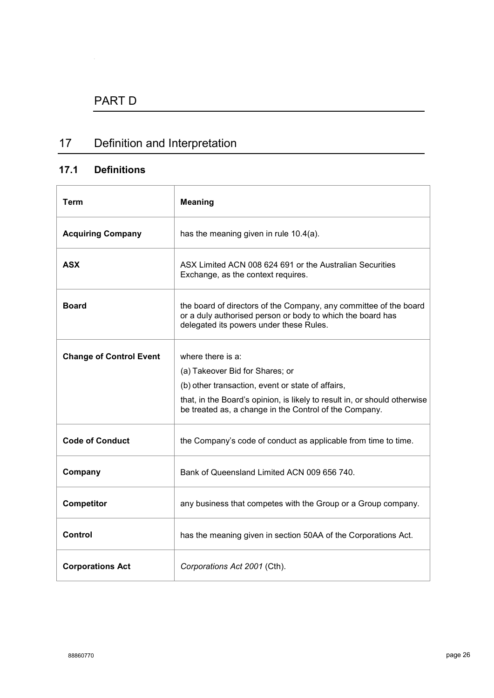# 17 Definition and Interpretation

### **17.1 Definitions**

| Term                           | <b>Meaning</b>                                                                                                                                                             |
|--------------------------------|----------------------------------------------------------------------------------------------------------------------------------------------------------------------------|
| <b>Acquiring Company</b>       | has the meaning given in rule 10.4(a).                                                                                                                                     |
| <b>ASX</b>                     | ASX Limited ACN 008 624 691 or the Australian Securities<br>Exchange, as the context requires.                                                                             |
| <b>Board</b>                   | the board of directors of the Company, any committee of the board<br>or a duly authorised person or body to which the board has<br>delegated its powers under these Rules. |
| <b>Change of Control Event</b> | where there is a:<br>(a) Takeover Bid for Shares; or                                                                                                                       |
|                                | (b) other transaction, event or state of affairs,                                                                                                                          |
|                                | that, in the Board's opinion, is likely to result in, or should otherwise<br>be treated as, a change in the Control of the Company.                                        |
| <b>Code of Conduct</b>         | the Company's code of conduct as applicable from time to time.                                                                                                             |
| Company                        | Bank of Queensland Limited ACN 009 656 740.                                                                                                                                |
| <b>Competitor</b>              | any business that competes with the Group or a Group company.                                                                                                              |
| <b>Control</b>                 | has the meaning given in section 50AA of the Corporations Act.                                                                                                             |
| <b>Corporations Act</b>        | Corporations Act 2001 (Cth).                                                                                                                                               |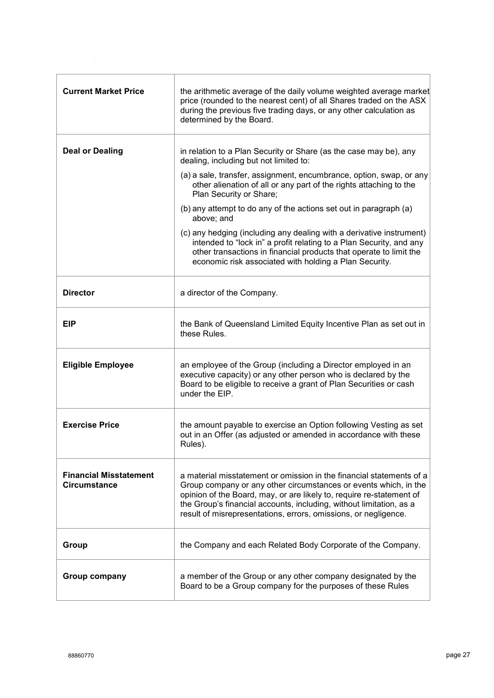| <b>Current Market Price</b>                          | the arithmetic average of the daily volume weighted average market<br>price (rounded to the nearest cent) of all Shares traded on the ASX<br>during the previous five trading days, or any other calculation as<br>determined by the Board.                                                                                                                |
|------------------------------------------------------|------------------------------------------------------------------------------------------------------------------------------------------------------------------------------------------------------------------------------------------------------------------------------------------------------------------------------------------------------------|
| <b>Deal or Dealing</b>                               | in relation to a Plan Security or Share (as the case may be), any<br>dealing, including but not limited to:                                                                                                                                                                                                                                                |
|                                                      | (a) a sale, transfer, assignment, encumbrance, option, swap, or any<br>other alienation of all or any part of the rights attaching to the<br>Plan Security or Share;                                                                                                                                                                                       |
|                                                      | (b) any attempt to do any of the actions set out in paragraph (a)<br>above; and                                                                                                                                                                                                                                                                            |
|                                                      | (c) any hedging (including any dealing with a derivative instrument)<br>intended to "lock in" a profit relating to a Plan Security, and any<br>other transactions in financial products that operate to limit the<br>economic risk associated with holding a Plan Security.                                                                                |
| <b>Director</b>                                      | a director of the Company.                                                                                                                                                                                                                                                                                                                                 |
| <b>EIP</b>                                           | the Bank of Queensland Limited Equity Incentive Plan as set out in<br>these Rules.                                                                                                                                                                                                                                                                         |
| <b>Eligible Employee</b>                             | an employee of the Group (including a Director employed in an<br>executive capacity) or any other person who is declared by the<br>Board to be eligible to receive a grant of Plan Securities or cash<br>under the EIP.                                                                                                                                    |
| <b>Exercise Price</b>                                | the amount payable to exercise an Option following Vesting as set<br>out in an Offer (as adjusted or amended in accordance with these<br>Rules).                                                                                                                                                                                                           |
| <b>Financial Misstatement</b><br><b>Circumstance</b> | a material misstatement or omission in the financial statements of a<br>Group company or any other circumstances or events which, in the<br>opinion of the Board, may, or are likely to, require re-statement of<br>the Group's financial accounts, including, without limitation, as a<br>result of misrepresentations, errors, omissions, or negligence. |
| Group                                                | the Company and each Related Body Corporate of the Company.                                                                                                                                                                                                                                                                                                |
| Group company                                        | a member of the Group or any other company designated by the<br>Board to be a Group company for the purposes of these Rules                                                                                                                                                                                                                                |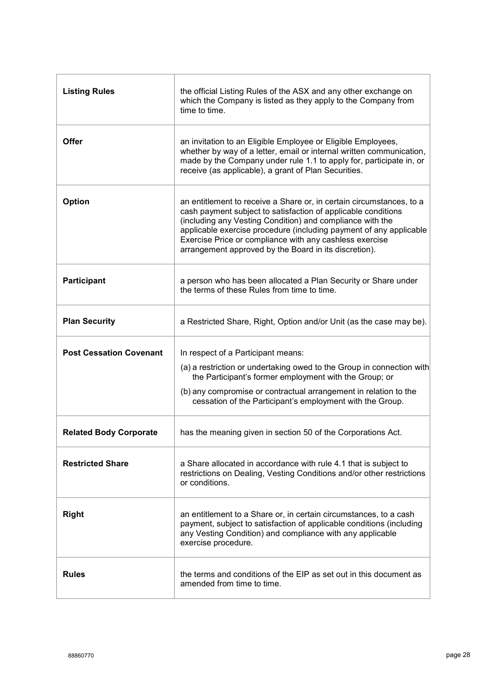| <b>Listing Rules</b>           | the official Listing Rules of the ASX and any other exchange on<br>which the Company is listed as they apply to the Company from<br>time to time.                                                                                                                                                                                                                                            |
|--------------------------------|----------------------------------------------------------------------------------------------------------------------------------------------------------------------------------------------------------------------------------------------------------------------------------------------------------------------------------------------------------------------------------------------|
| <b>Offer</b>                   | an invitation to an Eligible Employee or Eligible Employees,<br>whether by way of a letter, email or internal written communication,<br>made by the Company under rule 1.1 to apply for, participate in, or<br>receive (as applicable), a grant of Plan Securities.                                                                                                                          |
| <b>Option</b>                  | an entitlement to receive a Share or, in certain circumstances, to a<br>cash payment subject to satisfaction of applicable conditions<br>(including any Vesting Condition) and compliance with the<br>applicable exercise procedure (including payment of any applicable<br>Exercise Price or compliance with any cashless exercise<br>arrangement approved by the Board in its discretion). |
| <b>Participant</b>             | a person who has been allocated a Plan Security or Share under<br>the terms of these Rules from time to time.                                                                                                                                                                                                                                                                                |
| <b>Plan Security</b>           | a Restricted Share, Right, Option and/or Unit (as the case may be).                                                                                                                                                                                                                                                                                                                          |
| <b>Post Cessation Covenant</b> | In respect of a Participant means:<br>(a) a restriction or undertaking owed to the Group in connection with<br>the Participant's former employment with the Group; or<br>(b) any compromise or contractual arrangement in relation to the<br>cessation of the Participant's employment with the Group.                                                                                       |
| <b>Related Body Corporate</b>  | has the meaning given in section 50 of the Corporations Act.                                                                                                                                                                                                                                                                                                                                 |
| <b>Restricted Share</b>        | a Share allocated in accordance with rule 4.1 that is subject to<br>restrictions on Dealing, Vesting Conditions and/or other restrictions<br>or conditions.                                                                                                                                                                                                                                  |
| <b>Right</b>                   | an entitlement to a Share or, in certain circumstances, to a cash<br>payment, subject to satisfaction of applicable conditions (including<br>any Vesting Condition) and compliance with any applicable<br>exercise procedure.                                                                                                                                                                |
| <b>Rules</b>                   | the terms and conditions of the EIP as set out in this document as<br>amended from time to time.                                                                                                                                                                                                                                                                                             |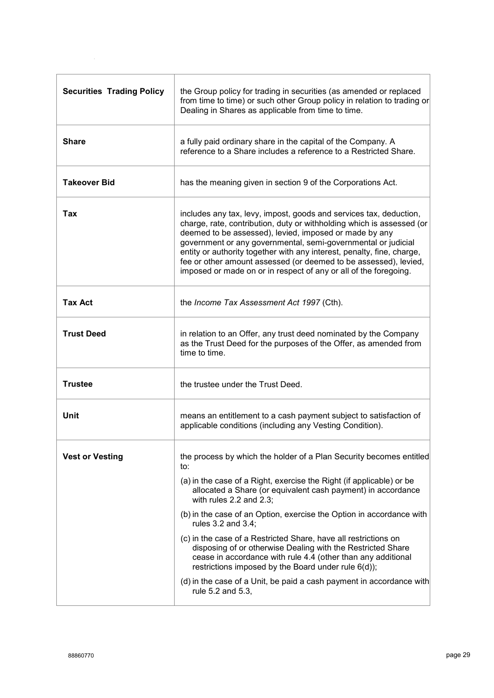| <b>Securities Trading Policy</b> | the Group policy for trading in securities (as amended or replaced<br>from time to time) or such other Group policy in relation to trading or<br>Dealing in Shares as applicable from time to time.                                                                                                                                                                                                                                                                                                                                                                                                                                                                                                    |
|----------------------------------|--------------------------------------------------------------------------------------------------------------------------------------------------------------------------------------------------------------------------------------------------------------------------------------------------------------------------------------------------------------------------------------------------------------------------------------------------------------------------------------------------------------------------------------------------------------------------------------------------------------------------------------------------------------------------------------------------------|
| <b>Share</b>                     | a fully paid ordinary share in the capital of the Company. A<br>reference to a Share includes a reference to a Restricted Share.                                                                                                                                                                                                                                                                                                                                                                                                                                                                                                                                                                       |
| <b>Takeover Bid</b>              | has the meaning given in section 9 of the Corporations Act.                                                                                                                                                                                                                                                                                                                                                                                                                                                                                                                                                                                                                                            |
| Tax                              | includes any tax, levy, impost, goods and services tax, deduction,<br>charge, rate, contribution, duty or withholding which is assessed (or<br>deemed to be assessed), levied, imposed or made by any<br>government or any governmental, semi-governmental or judicial<br>entity or authority together with any interest, penalty, fine, charge,<br>fee or other amount assessed (or deemed to be assessed), levied,<br>imposed or made on or in respect of any or all of the foregoing.                                                                                                                                                                                                               |
| <b>Tax Act</b>                   | the Income Tax Assessment Act 1997 (Cth).                                                                                                                                                                                                                                                                                                                                                                                                                                                                                                                                                                                                                                                              |
| <b>Trust Deed</b>                | in relation to an Offer, any trust deed nominated by the Company<br>as the Trust Deed for the purposes of the Offer, as amended from<br>time to time.                                                                                                                                                                                                                                                                                                                                                                                                                                                                                                                                                  |
| <b>Trustee</b>                   | the trustee under the Trust Deed.                                                                                                                                                                                                                                                                                                                                                                                                                                                                                                                                                                                                                                                                      |
| Unit                             | means an entitlement to a cash payment subject to satisfaction of<br>applicable conditions (including any Vesting Condition).                                                                                                                                                                                                                                                                                                                                                                                                                                                                                                                                                                          |
| <b>Vest or Vesting</b>           | the process by which the holder of a Plan Security becomes entitled<br>to:<br>(a) in the case of a Right, exercise the Right (if applicable) or be<br>allocated a Share (or equivalent cash payment) in accordance<br>with rules $2.2$ and $2.3$ ;<br>(b) in the case of an Option, exercise the Option in accordance with<br>rules 3.2 and 3.4;<br>(c) in the case of a Restricted Share, have all restrictions on<br>disposing of or otherwise Dealing with the Restricted Share<br>cease in accordance with rule 4.4 (other than any additional<br>restrictions imposed by the Board under rule 6(d));<br>(d) in the case of a Unit, be paid a cash payment in accordance with<br>rule 5.2 and 5.3, |